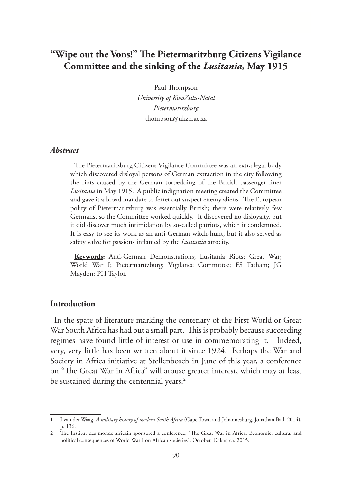# **"Wipe out the Vons!" The Pietermaritzburg Citizens Vigilance Committee and the sinking of the** *Lusitania,* **May 1915**

Paul Thompson *University of KwaZulu-Natal Pietermaritzburg* thompson@ukzn.ac.za

### *Abstract*

The Pietermaritzburg Citizens Vigilance Committee was an extra legal body which discovered disloyal persons of German extraction in the city following the riots caused by the German torpedoing of the British passenger liner *Lusitania* in May 1915. A public indignation meeting created the Committee and gave it a broad mandate to ferret out suspect enemy aliens. The European polity of Pietermaritzburg was essentially British; there were relatively few Germans, so the Committee worked quickly. It discovered no disloyalty, but it did discover much intimidation by so-called patriots, which it condemned. It is easy to see its work as an anti-German witch-hunt, but it also served as safety valve for passions inflamed by the *Lusitania* atrocity.

**Keywords:** Anti-German Demonstrations; Lusitania Riots; Great War; World War I; Pietermaritzburg; Vigilance Committee; FS Tatham; JG Maydon; PH Taylor.

#### **Introduction**

In the spate of literature marking the centenary of the First World or Great War South Africa has had but a small part. This is probably because succeeding regimes have found little of interest or use in commemorating it.<sup>1</sup> Indeed, very, very little has been written about it since 1924. Perhaps the War and Society in Africa initiative at Stellenbosch in June of this year, a conference on "The Great War in Africa" will arouse greater interest, which may at least be sustained during the centennial years.<sup>2</sup>

<sup>1</sup> I van der Waag, *A military history of modern South Africa* (Cape Town and Johannesburg, Jonathan Ball, 2014), p. 136.

<sup>2</sup> The Institut des monde africain sponsored a conference, "The Great War in Africa: Economic, cultural and political consequences of World War I on African societies", October, Dakar, ca. 2015.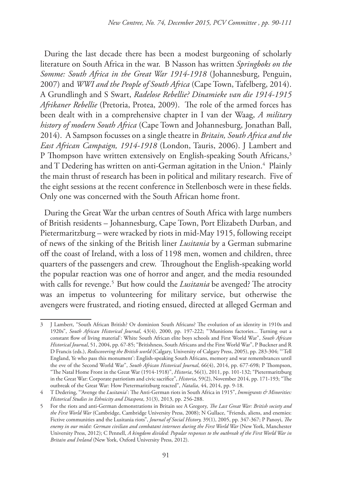During the last decade there has been a modest burgeoning of scholarly literature on South Africa in the war. B Nasson has written *Springboks on the Somme: South Africa in the Great War 1914-1918* (Johannesburg, Penguin, 2007) and *WWI and the People of South Africa* (Cape Town, Tafelberg, 2014). A Grundlingh and S Swart, *Radelose Rebellie? Dinamieke van die 1914-1915 Afrikaner Rebellie* (Pretoria, Protea, 2009). The role of the armed forces has been dealt with in a comprehensive chapter in I van der Waag, *A military history of modern South Africa* (Cape Town and Johannesburg, Jonathan Ball, 2014). A Sampson focusses on a single theatre in *Britain, South Africa and the East African Campaign, 1914-1918* (London, Tauris, 2006). J Lambert and P Thompson have written extensively on English-speaking South Africans,<sup>3</sup> and T Dedering has written on anti-German agitation in the Union. $^4\,$  Plainly the main thrust of research has been in political and military research. Five of the eight sessions at the recent conference in Stellenbosch were in these fields. Only one was concerned with the South African home front.

During the Great War the urban centres of South Africa with large numbers of British residents – Johannesburg, Cape Town, Port Elizabeth Durban, and Pietermaritzburg – were wracked by riots in mid-May 1915, following receipt of news of the sinking of the British liner *Lusitania* by a German submarine off the coast of Ireland, with a loss of 1198 men, women and children, three quarters of the passengers and crew. Throughout the English-speaking world the popular reaction was one of horror and anger, and the media resounded with calls for revenge.<sup>5</sup> But how could the *Lusitania* be avenged? The atrocity was an impetus to volunteering for military service, but otherwise the avengers were frustrated, and rioting ensued, directed at alleged German and

<sup>3</sup> J Lambert, "South African British? Or dominion South Africans? The evolution of an identity in 1910s and 1920s", *South African Historical Journal*, 43(4), 2000, pp. 197-222; "'Munitions factories... Turning out a constant flow of living material': White South African elite boys schools and First World War", *South African Historical Journal*, 51, 2004, pp. 67-85; "Britishness, South Africans and the First World War", P Buckner and R D Francis (eds.), *Rediscovering the British world* (Calgary, University of Calgary Press, 2005), pp. 283-304; "'Tell England, Ye who pass this monument': English-speaking South Africans, memory and war remembrances until the eve of the Second World War", *South African Historical Journal*, 66(4), 2014, pp. 677-698; P Thompson, "The Natal Home Front in the Great War (1914-1918)", *Historia*, 56(1), 2011, pp. 101-132; "Pietermaritzburg in the Great War: Corporate patriotism and civic sacrifice", *Historia*, 59(2), November 2014, pp. 171-193; "The outbreak of the Great War: How Pietermaritzburg reacted", *Natalia*, 44, 2014, pp. 9-18.

<sup>4</sup> T Dedering, "'Avenge the *Lusitania*': The Anti-German riots in South Africa in 1915", *Immigrants & Minorities: Historical Studies in Ethnicity and Diaspora*, 31(3), 2013, pp. 256-288.

<sup>5</sup> For the riots and anti-German demonstrations in Britain see A Gregory, *The Last Great War: British society and the First World War* (Cambridge, Cambridge University Press, 2008); N Gullace, "Friends, aliens, and enemies: Fictive communities and the Lusitania riots", *Journal of Social History,* 39(1), 2005, pp. 347-367; P Panoyi, *The enemy in our midst: German civilian and combatant internees during the First World War* (New York, Manchester University Press, 2012); C Pennell, *A kingdom divided: Popular responses to the outbreak of the First World War in Britain and Ireland* (New York, Oxford University Press, 2012).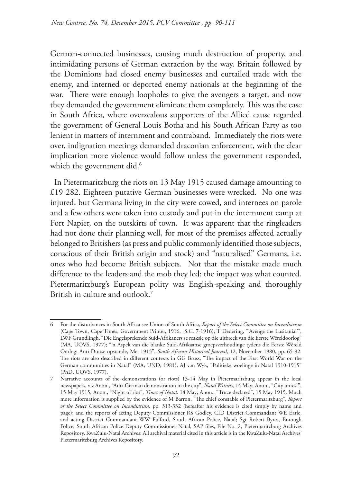German-connected businesses, causing much destruction of property, and intimidating persons of German extraction by the way. Britain followed by the Dominions had closed enemy businesses and curtailed trade with the enemy, and interned or deported enemy nationals at the beginning of the war. There were enough loopholes to give the avengers a target, and now they demanded the government eliminate them completely. This was the case in South Africa, where overzealous supporters of the Allied cause regarded the government of General Louis Botha and his South African Party as too lenient in matters of internment and contraband. Immediately the riots were over, indignation meetings demanded draconian enforcement, with the clear implication more violence would follow unless the government responded, which the government did.<sup>6</sup>

In Pietermaritzburg the riots on 13 May 1915 caused damage amounting to £19 282. Eighteen putative German businesses were wrecked. No one was injured, but Germans living in the city were cowed, and internees on parole and a few others were taken into custody and put in the internment camp at Fort Napier, on the outskirts of town. It was apparent that the ringleaders had not done their planning well, for most of the premises affected actually belonged to Britishers (as press and public commonly identified those subjects, conscious of their British origin and stock) and "naturalised" Germans, i.e. ones who had become British subjects. Not that the mistake made much difference to the leaders and the mob they led: the impact was what counted. Pietermaritzburg's European polity was English-speaking and thoroughly British in culture and outlook.<sup>7</sup>

<sup>6</sup> For the disturbances in South Africa see Union of South Africa, *Report of the Select Committee on Incendiarism*  (Cape Town, Cape Times, Government Printer, 1916, S.C. 7-1916); T Dedering, "'Avenge the Lusitania!'"; LWF Grundlingh, "Die Engelsprekende Suid-Afrikaners se reaksie op die uitbreek van die Eerste Wêreldoorlog" (MA, UOVS, 1977); "'n Aspek van die blanke Suid-Afrikaanse groepsverhoudinge tydens die Eerste Wêreld Oorlog: Anti-Duitse opstande, Mei 1915", *South African Historical Journal*, 12, November 1980, pp. 65-92. The riots are also described in different contexts in GG Bruss, "The impact of the First World War on the German communities in Natal" (MA, UND, 1981); AJ van Wyk, "Politieke woelinge in Natal 1910-1915" (PhD, UOVS, 1977).

<sup>7</sup> Narrative accounts of the demonstrations (or riots) 13-14 May in Pietermaritzburg appear in the local newspapers, viz Anon., "Anti-German demonstration in the city", *Natal Witness,* 14 May; Anon., "City unrest", 15 May 1915; Anon., "Night of riot", *Times of Natal,* 14 May; Anon., "Truce declared", 15 May 1915. Much more information is supplied by the evidence of M Barron, "The chief constable of Pietermaritzburg", *Report of the Select Committee on Incendiarism,* pp. 313-332 (hereafter his evidence is cited simply by name and page); and the reports of acting Deputy Commissioner RS Godley, CID District Commandant WE Earle, and acting District Commandant WW Fulford, South African Police, Natal; Sgt Robert Byres, Borough Police, South African Police Deputy Commissioner Natal, SAP files, File No. 2, Pietermaritzburg Archives Repository, KwaZulu-Natal Archives. All archival material cited in this article is in the KwaZulu-Natal Archives' Pietermaritzburg Archives Repository.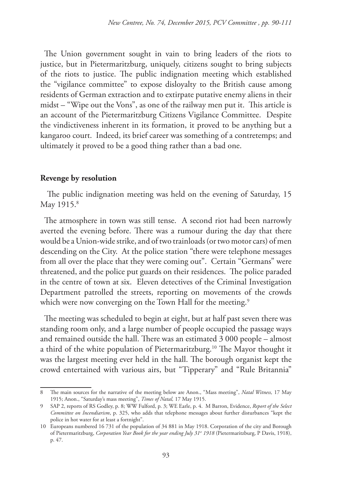The Union government sought in vain to bring leaders of the riots to justice, but in Pietermaritzburg, uniquely, citizens sought to bring subjects of the riots to justice. The public indignation meeting which established the "vigilance committee" to expose disloyalty to the British cause among residents of German extraction and to extirpate putative enemy aliens in their midst – "Wipe out the Vons", as one of the railway men put it. This article is an account of the Pietermaritzburg Citizens Vigilance Committee. Despite the vindictiveness inherent in its formation, it proved to be anything but a kangaroo court. Indeed, its brief career was something of a contretemps; and ultimately it proved to be a good thing rather than a bad one.

#### **Revenge by resolution**

 The public indignation meeting was held on the evening of Saturday, 15 May 1915.<sup>8</sup>

The atmosphere in town was still tense. A second riot had been narrowly averted the evening before. There was a rumour during the day that there would be a Union-wide strike, and of two trainloads (or two motor cars) of men descending on the City. At the police station "there were telephone messages from all over the place that they were coming out". Certain "Germans" were threatened, and the police put guards on their residences. The police paraded in the centre of town at six. Eleven detectives of the Criminal Investigation Department patrolled the streets, reporting on movements of the crowds which were now converging on the Town Hall for the meeting.<sup>9</sup>

The meeting was scheduled to begin at eight, but at half past seven there was standing room only, and a large number of people occupied the passage ways and remained outside the hall. There was an estimated 3 000 people – almost a third of the white population of Pietermaritzburg.<sup>10</sup> The Mayor thought it was the largest meeting ever held in the hall. The borough organist kept the crowd entertained with various airs, but "Tipperary" and "Rule Britannia"

<sup>8</sup> The main sources for the narrative of the meeting below are Anon., "Mass meeting", *Natal Witness,* 17 May 1915; Anon., "Saturday's mass meeting", *Times of Natal,* 17 May 1915.

<sup>9</sup> SAP 2, reports of RS Godley, p. 8; WW Fulford, p. 3; WE Earle, p. 4. M Barron, Evidence, *Report of the Select Committee on Incendiarism*, p. 325, who adds that telephone messages about further disturbances "kept the police in hot water for at least a fortnight".

<sup>10</sup> Europeans numbered 16 731 of the population of 34 881 in May 1918. Corporation of the city and Borough of Pietermaritzburg, *Corporation Year Book for the year ending July 31st* 1918 (Pietermaritzburg, P Davis, 1918), p. 47.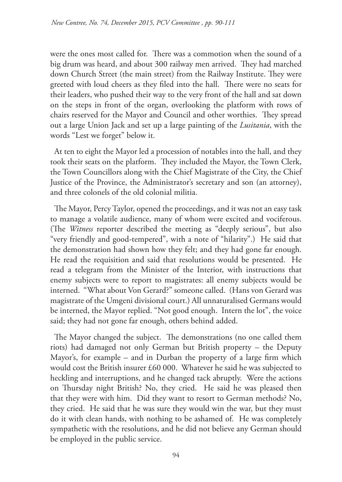were the ones most called for. There was a commotion when the sound of a big drum was heard, and about 300 railway men arrived. They had marched down Church Street (the main street) from the Railway Institute. They were greeted with loud cheers as they filed into the hall. There were no seats for their leaders, who pushed their way to the very front of the hall and sat down on the steps in front of the organ, overlooking the platform with rows of chairs reserved for the Mayor and Council and other worthies. They spread out a large Union Jack and set up a large painting of the *Lusitania*, with the words "Lest we forget" below it.

At ten to eight the Mayor led a procession of notables into the hall, and they took their seats on the platform. They included the Mayor, the Town Clerk, the Town Councillors along with the Chief Magistrate of the City, the Chief Justice of the Province, the Administrator's secretary and son (an attorney), and three colonels of the old colonial militia.

The Mayor, Percy Taylor, opened the proceedings, and it was not an easy task to manage a volatile audience, many of whom were excited and vociferous. (The *Witness* reporter described the meeting as "deeply serious", but also "very friendly and good-tempered", with a note of "hilarity".) He said that the demonstration had shown how they felt; and they had gone far enough. He read the requisition and said that resolutions would be presented. He read a telegram from the Minister of the Interior, with instructions that enemy subjects were to report to magistrates: all enemy subjects would be interned. "What about Von Gerard?" someone called. (Hans von Gerard was magistrate of the Umgeni divisional court.) All unnaturalised Germans would be interned, the Mayor replied. "Not good enough. Intern the lot", the voice said; they had not gone far enough, others behind added.

The Mayor changed the subject. The demonstrations (no one called them riots) had damaged not only German but British property – the Deputy Mayor's, for example – and in Durban the property of a large firm which would cost the British insurer £60 000. Whatever he said he was subjected to heckling and interruptions, and he changed tack abruptly. Were the actions on Thursday night British? No, they cried. He said he was pleased then that they were with him. Did they want to resort to German methods? No, they cried. He said that he was sure they would win the war, but they must do it with clean hands, with nothing to be ashamed of. He was completely sympathetic with the resolutions, and he did not believe any German should be employed in the public service.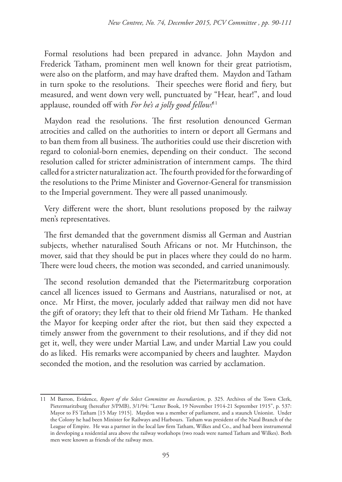Formal resolutions had been prepared in advance. John Maydon and Frederick Tatham, prominent men well known for their great patriotism, were also on the platform, and may have drafted them. Maydon and Tatham in turn spoke to the resolutions. Their speeches were florid and fiery, but measured, and went down very well, punctuated by "Hear, hear!", and loud applause, rounded off with *For he's a jolly good fellow!*11

Maydon read the resolutions. The first resolution denounced German atrocities and called on the authorities to intern or deport all Germans and to ban them from all business. The authorities could use their discretion with regard to colonial-born enemies, depending on their conduct. The second resolution called for stricter administration of internment camps. The third called for a stricter naturalization act. The fourth provided for the forwarding of the resolutions to the Prime Minister and Governor-General for transmission to the Imperial government. They were all passed unanimously.

Very different were the short, blunt resolutions proposed by the railway men's representatives.

The first demanded that the government dismiss all German and Austrian subjects, whether naturalised South Africans or not. Mr Hutchinson, the mover, said that they should be put in places where they could do no harm. There were loud cheers, the motion was seconded, and carried unanimously.

The second resolution demanded that the Pietermaritzburg corporation cancel all licences issued to Germans and Austrians, naturalised or not, at once. Mr Hirst, the mover, jocularly added that railway men did not have the gift of oratory; they left that to their old friend Mr Tatham. He thanked the Mayor for keeping order after the riot, but then said they expected a timely answer from the government to their resolutions, and if they did not get it, well, they were under Martial Law, and under Martial Law you could do as liked. His remarks were accompanied by cheers and laughter. Maydon seconded the motion, and the resolution was carried by acclamation.

<sup>11</sup> M Barron, Evidence, *Report of the Select Committee on Incendiarism*, p. 325. Archives of the Town Clerk, Pietermaritzburg (hereafter 3/PMB), 3/1/94: "Letter Book, 19 November 1914-21 September 1915", p. 537: Mayor to FS Tatham [15 May 1915]. Maydon was a member of parliament, and a staunch Unionist. Under the Colony he had been Minister for Railways and Harbours. Tatham was president of the Natal Branch of the League of Empire. He was a partner in the local law firm Tatham, Wilkes and Co., and had been instrumental in developing a residential area above the railway workshops (two roads were named Tatham and Wilkes). Both men were known as friends of the railway men.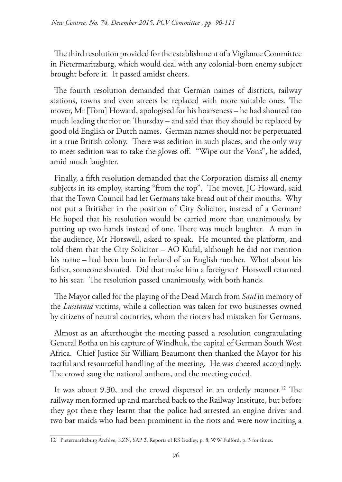The third resolution provided for the establishment of a Vigilance Committee in Pietermaritzburg, which would deal with any colonial-born enemy subject brought before it. It passed amidst cheers.

The fourth resolution demanded that German names of districts, railway stations, towns and even streets be replaced with more suitable ones. The mover, Mr [Tom] Howard, apologised for his hoarseness – he had shouted too much leading the riot on Thursday – and said that they should be replaced by good old English or Dutch names. German names should not be perpetuated in a true British colony. There was sedition in such places, and the only way to meet sedition was to take the gloves off. "Wipe out the Vons", he added, amid much laughter.

Finally, a fifth resolution demanded that the Corporation dismiss all enemy subjects in its employ, starting "from the top". The mover, JC Howard, said that the Town Council had let Germans take bread out of their mouths. Why not put a Britisher in the position of City Solicitor, instead of a German? He hoped that his resolution would be carried more than unanimously, by putting up two hands instead of one. There was much laughter. A man in the audience, Mr Horswell, asked to speak. He mounted the platform, and told them that the City Solicitor – AO Kufal, although he did not mention his name – had been born in Ireland of an English mother. What about his father, someone shouted. Did that make him a foreigner? Horswell returned to his seat. The resolution passed unanimously, with both hands.

The Mayor called for the playing of the Dead March from *Saul* in memory of the *Lusitania* victims, while a collection was taken for two businesses owned by citizens of neutral countries, whom the rioters had mistaken for Germans.

Almost as an afterthought the meeting passed a resolution congratulating General Botha on his capture of Windhuk, the capital of German South West Africa. Chief Justice Sir William Beaumont then thanked the Mayor for his tactful and resourceful handling of the meeting. He was cheered accordingly. The crowd sang the national anthem, and the meeting ended.

It was about 9.30, and the crowd dispersed in an orderly manner.<sup>12</sup> The railway men formed up and marched back to the Railway Institute, but before they got there they learnt that the police had arrested an engine driver and two bar maids who had been prominent in the riots and were now inciting a

<sup>12</sup> Pietermaritzburg Archive, KZN, SAP 2, Reports of RS Godley, p. 8; WW Fulford, p. 3 for times.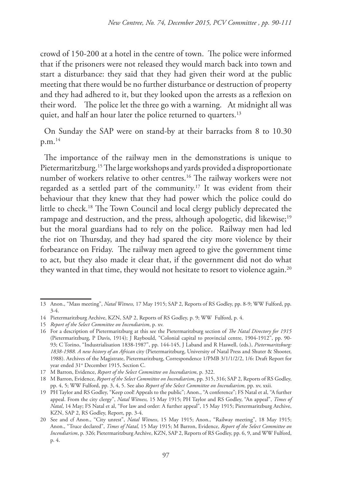crowd of 150-200 at a hotel in the centre of town. The police were informed that if the prisoners were not released they would march back into town and start a disturbance: they said that they had given their word at the public meeting that there would be no further disturbance or destruction of property and they had adhered to it, but they looked upon the arrests as a reflexion on their word. The police let the three go with a warning. At midnight all was quiet, and half an hour later the police returned to quarters.<sup>13</sup>

On Sunday the SAP were on stand-by at their barracks from 8 to 10.30 p.m.14

The importance of the railway men in the demonstrations is unique to Pietermaritzburg.15 The large workshops and yards provided a disproportionate number of workers relative to other centres.16 The railway workers were not regarded as a settled part of the community.17 It was evident from their behaviour that they knew that they had power which the police could do little to check.18 The Town Council and local clergy publicly deprecated the rampage and destruction, and the press, although apologetic, did likewise;<sup>19</sup> but the moral guardians had to rely on the police. Railway men had led the riot on Thursday, and they had spared the city more violence by their forbearance on Friday. The railway men agreed to give the government time to act, but they also made it clear that, if the government did not do what they wanted in that time, they would not hesitate to resort to violence again.<sup>20</sup>

<sup>13</sup> Anon., "Mass meeting", *Natal Witness,* 17 May 1915; SAP 2, Reports of RS Godley, pp. 8-9; WW Fulford, pp. 3-4.

<sup>14</sup> Pietermaritzburg Archive, KZN, SAP 2, Reports of RS Godley, p. 9; WW Fulford, p. 4.

<sup>15</sup> *Report of the Select Committee on Incendiarism*, p. xv.

<sup>16</sup> For a description of Pietermaritzburg at this see the Pietermaritzburg section of *The Natal Directory for 1915* (Pietermaritzburg, P Davis, 1914); J Raybould, "Colonial capital to provincial centre, 1904-1912", pp. 90- 93; C Torino, "Industrialisation 1838-1987", pp. 144-145, J Laband and R Haswell, (eds.), *Pietermaritzburg: 1838-1988. A new history of an African* city (Pietermaritzburg, University of Natal Press and Shuter & Shooter, 1988). Archives of the Magistrate, Pietermaritzburg, Correspondence 1/PMB 3/1/1/2/2, 1/6: Draft Report for year ended 31<sup>st</sup> December 1915, Section C.

<sup>17</sup> M Barron, Evidence, *Report of the Select Committee on Incendiarism*, p. 322.

<sup>18</sup> M Barron, Evidence, *Report of the Select Committee on Incendiarism*, pp. 315, 316; SAP 2, Reports of RS Godley, pp. 4, 5; WW Fulford, pp. 3, 4, 5. See also *Report of the Select Committee on Incendiarism,* pp. xv, xxii.

<sup>19</sup> PH Taylor and RS Godley, "Keep cool! Appeals to the public"; Anon., "A conference"; FS Natal et al, "A further appeal. From the city clergy", *Natal Witness,* 15 May 1915; PH Taylor and RS Godley, "An appeal", *Times of Natal*, 14 May; FS Natal et al, "For law and order: A further appeal", 15 May 1915; Pietermaritzburg Archive, KZN, SAP 2, RS Godley, Report, pp. 3-4.

<sup>20</sup> See and cf Anon., "City unrest", *Natal Witness*, 15 May 1915; Anon., "Railway meeting", 18 May 1915; Anon., "Truce declared", *Times of Natal,* 15 May 1915; M Barron, Evidence, *Report of the Select Committee on Incendiarism*, p. 326; Pietermaritzburg Archive, KZN, SAP 2, Reports of RS Godley, pp. 6, 9, and WW Fulford, p. 4.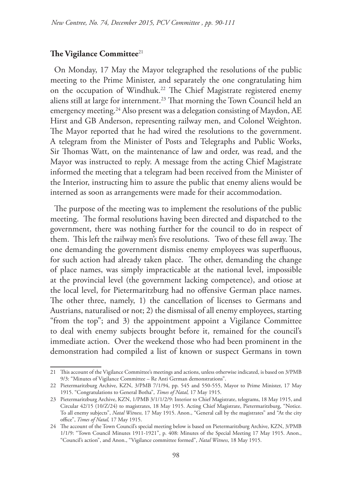### **The Vigilance Committee**<sup>21</sup>

On Monday, 17 May the Mayor telegraphed the resolutions of the public meeting to the Prime Minister, and separately the one congratulating him on the occupation of Windhuk.<sup>22</sup> The Chief Magistrate registered enemy aliens still at large for internment.<sup>23</sup> That morning the Town Council held an emergency meeting.<sup>24</sup> Also present was a delegation consisting of Maydon, AE Hirst and GB Anderson, representing railway men, and Colonel Weighton. The Mayor reported that he had wired the resolutions to the government. A telegram from the Minister of Posts and Telegraphs and Public Works, Sir Thomas Watt, on the maintenance of law and order, was read, and the Mayor was instructed to reply. A message from the acting Chief Magistrate informed the meeting that a telegram had been received from the Minister of the Interior, instructing him to assure the public that enemy aliens would be interned as soon as arrangements were made for their accommodation.

The purpose of the meeting was to implement the resolutions of the public meeting. The formal resolutions having been directed and dispatched to the government, there was nothing further for the council to do in respect of them. This left the railway men's five resolutions. Two of these fell away. The one demanding the government dismiss enemy employees was superfluous, for such action had already taken place. The other, demanding the change of place names, was simply impracticable at the national level, impossible at the provincial level (the government lacking competence), and otiose at the local level, for Pietermaritzburg had no offensive German place names. The other three, namely, 1) the cancellation of licenses to Germans and Austrians, naturalised or not; 2) the dismissal of all enemy employees, starting "from the top"; and 3) the appointment appoint a Vigilance Committee to deal with enemy subjects brought before it, remained for the council's immediate action. Over the weekend those who had been prominent in the demonstration had compiled a list of known or suspect Germans in town

<sup>21</sup> This account of the Vigilance Committee's meetings and actions, unless otherwise indicated, is based on 3/PMB 9/3: "Minutes of Vigilance Committee – Re Anti German demonstrations".

<sup>22</sup> Pietermaritzburg Archive, KZN, 3/PMB 7/1/94, pp. 545 and 550-555, Mayor to Prime Minister, 17 May 1915. "Congratulations to General Botha", *Times of Natal,* 17 May 1915.

<sup>23</sup> Pietermaritzburg Archive, KZN, 1/PMB 3/1/1/2/9: Interior to Chief Magistrate, telegrams, 18 May 1915, and Circular 42/15 (10/Z/24) to magistrates, 18 May 1915. Acting Chief Magistrate, Pietermaritzburg, "Notice. To all enemy subjects", *Natal Witness,* 17 May 1915. Anon., "General call by the magistrates" and "At the city office", *Times of Natal,* 17 May 1915.

<sup>24</sup> The account of the Town Council's special meeting below is based on Pietermaritzburg Archive, KZN, 3/PMB 1/1/9: "Town Council Minutes 1911-1921", p. 408: Minutes of the Special Meeting 17 May 1915. Anon., "Council's action", and Anon., "Vigilance committee formed", *Natal Witness*, 18 May 1915.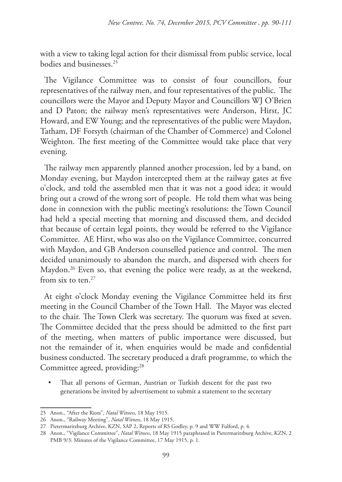with a view to taking legal action for their dismissal from public service, local bodies and businesses.25

The Vigilance Committee was to consist of four councillors, four representatives of the railway men, and four representatives of the public. The councillors were the Mayor and Deputy Mayor and Councillors WJ O'Brien and D Paton; the railway men's representatives were Anderson, Hirst, JC Howard, and EW Young; and the representatives of the public were Maydon, Tatham, DF Forsyth (chairman of the Chamber of Commerce) and Colonel Weighton. The first meeting of the Committee would take place that very evening.

The railway men apparently planned another procession, led by a band, on Monday evening, but Maydon intercepted them at the railway gates at five o'clock, and told the assembled men that it was not a good idea; it would bring out a crowd of the wrong sort of people. He told them what was being done in connexion with the public meeting's resolutions: the Town Council had held a special meeting that morning and discussed them, and decided that because of certain legal points, they would be referred to the Vigilance Committee. AE Hirst, who was also on the Vigilance Committee, concurred with Maydon, and GB Anderson counselled patience and control. The men decided unanimously to abandon the march, and dispersed with cheers for Maydon.<sup>26</sup> Even so, that evening the police were ready, as at the weekend, from six to ten.<sup>27</sup>

At eight o'clock Monday evening the Vigilance Committee held its first meeting in the Council Chamber of the Town Hall. The Mayor was elected to the chair. The Town Clerk was secretary. The quorum was fixed at seven. The Committee decided that the press should be admitted to the first part of the meeting, when matters of public importance were discussed, but not the remainder of it, when enquiries would be made and confidential business conducted. The secretary produced a draft programme, to which the Committee agreed, providing:<sup>28</sup>

That all persons of German, Austrian or Turkish descent for the past two generations be invited by advertisement to submit a statement to the secretary

<sup>25</sup> Anon., "After the Riots", *Natal Witness*, 18 May 1915.

<sup>26</sup> Anon., "Railway Meeting", *Natal Witness*, 18 May 1915.

<sup>27</sup> Pietermaritzburg Archive, KZN, SAP 2, Reports of RS Godley, p. 9 and WW Fulford, p. 4.

<sup>28</sup> Anon., "Vigilance Committee", *Natal Witness*, 18 May 1915 paraphrased in Pietermaritzburg Archive, KZN, 2 PMB 9/3: Minutes of the Vigilance Committee, 17 May 1915, p. 1.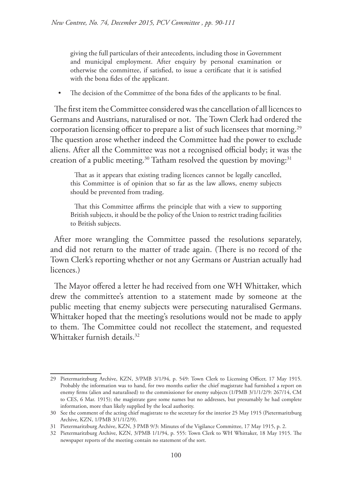giving the full particulars of their antecedents, including those in Government and municipal employment. After enquiry by personal examination or otherwise the committee, if satisfied, to issue a certificate that it is satisfied with the bona fides of the applicant.

• The decision of the Committee of the bona fides of the applicants to be final.

The first item the Committee considered was the cancellation of all licences to Germans and Austrians, naturalised or not. The Town Clerk had ordered the corporation licensing officer to prepare a list of such licensees that morning.<sup>29</sup> The question arose whether indeed the Committee had the power to exclude aliens. After all the Committee was not a recognised official body; it was the creation of a public meeting.30 Tatham resolved the question by moving:31

That as it appears that existing trading licences cannot be legally cancelled, this Committee is of opinion that so far as the law allows, enemy subjects should be prevented from trading.

That this Committee affirms the principle that with a view to supporting British subjects, it should be the policy of the Union to restrict trading facilities to British subjects.

After more wrangling the Committee passed the resolutions separately, and did not return to the matter of trade again. (There is no record of the Town Clerk's reporting whether or not any Germans or Austrian actually had licences.)

The Mayor offered a letter he had received from one WH Whittaker, which drew the committee's attention to a statement made by someone at the public meeting that enemy subjects were persecuting naturalised Germans. Whittaker hoped that the meeting's resolutions would not be made to apply to them. The Committee could not recollect the statement, and requested Whittaker furnish details.32

<sup>29</sup> Pietermaritzburg Archive, KZN, 3/PMB 3/1/94, p. 549: Town Clerk to Licensing Officer, 17 May 1915. Probably the information was to hand, for two months earlier the chief magistrate had furnished a report on enemy firms (alien and naturalised) to the commissioner for enemy subjects (1/PMB 3/1/1/2/9: 267/14, CM to CES, 6 Mar. 1915); the magistrate gave some names but no addresses, but presumably he had complete information, more than likely supplied by the local authority.

<sup>30</sup> See the comment of the acting chief magistrate to the secretary for the interior 25 May 1915 (Pietermaritzburg Archive, KZN, 1/PMB 3/1/1/2/9).

<sup>31</sup> Pietermaritzburg Archive, KZN, 3 PMB 9/3: Minutes of the Vigilance Committee, 17 May 1915, p. 2.

<sup>32</sup> Pietermaritzburg Archive, KZN, 3/PMB 1/1/94, p. 555: Town Clerk to WH Whittaker, 18 May 1915. The newspaper reports of the meeting contain no statement of the sort.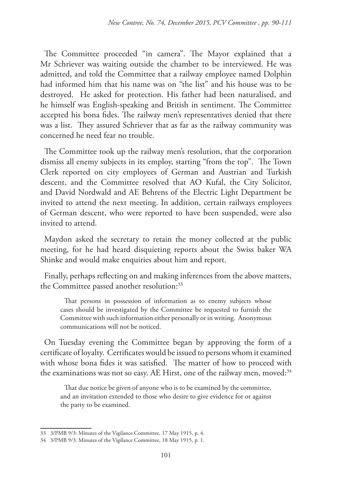The Committee proceeded "in camera". The Mayor explained that a Mr Schriever was waiting outside the chamber to be interviewed. He was admitted, and told the Committee that a railway employee named Dolphin had informed him that his name was on "the list" and his house was to be destroyed. He asked for protection. His father had been naturalised, and he himself was English-speaking and British in sentiment. The Committee accepted his bona fides. The railway men's representatives denied that there was a list. They assured Schriever that as far as the railway community was concerned he need fear no trouble.

The Committee took up the railway men's resolution, that the corporation dismiss all enemy subjects in its employ, starting "from the top". The Town Clerk reported on city employees of German and Austrian and Turkish descent, and the Committee resolved that AO Kufal, the City Solicitor, and David Nordwald and AE Behrens of the Electric Light Department be invited to attend the next meeting. In addition, certain railways employees of German descent, who were reported to have been suspended, were also invited to attend.

Maydon asked the secretary to retain the money collected at the public meeting, for he had heard disquieting reports about the Swiss baker WA Shinke and would make enquiries about him and report.

Finally, perhaps reflecting on and making inferences from the above matters, the Committee passed another resolution:<sup>33</sup>

That persons in possession of information as to enemy subjects whose cases should be investigated by the Committee be requested to furnish the Committee with such information either personally or in writing. Anonymous communications will not be noticed.

On Tuesday evening the Committee began by approving the form of a certificate of loyalty. Certificates would be issued to persons whom it examined with whose bona fides it was satisfied. The matter of how to proceed with the examinations was not so easy. AE Hirst, one of the railway men, moved:<sup>34</sup>

That due notice be given of anyone who is to be examined by the committee, and an invitation extended to those who desire to give evidence for or against the party to be examined.

<sup>33</sup> 3/PMB 9/3: Minutes of the Vigilance Committee, 17 May 1915, p. 4.

<sup>34</sup> 3/PMB 9/3: Minutes of the Vigilance Committee, 18 May 1915, p. 1.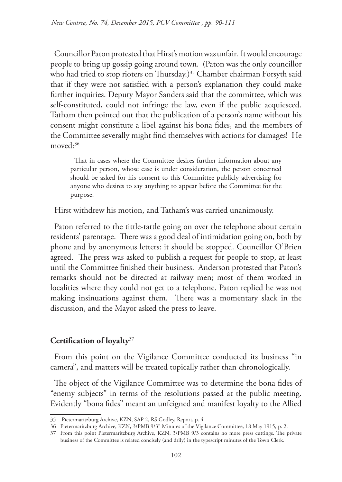Councillor Paton protested that Hirst's motion was unfair. It would encourage people to bring up gossip going around town. (Paton was the only councillor who had tried to stop rioters on Thursday.<sup>35</sup> Chamber chairman Forsyth said that if they were not satisfied with a person's explanation they could make further inquiries. Deputy Mayor Sanders said that the committee, which was self-constituted, could not infringe the law, even if the public acquiesced. Tatham then pointed out that the publication of a person's name without his consent might constitute a libel against his bona fides, and the members of the Committee severally might find themselves with actions for damages! He moved:<sup>36</sup>

That in cases where the Committee desires further information about any particular person, whose case is under consideration, the person concerned should be asked for his consent to this Committee publicly advertising for anyone who desires to say anything to appear before the Committee for the purpose.

Hirst withdrew his motion, and Tatham's was carried unanimously.

Paton referred to the tittle-tattle going on over the telephone about certain residents' parentage. There was a good deal of intimidation going on, both by phone and by anonymous letters: it should be stopped. Councillor O'Brien agreed. The press was asked to publish a request for people to stop, at least until the Committee finished their business. Anderson protested that Paton's remarks should not be directed at railway men; most of them worked in localities where they could not get to a telephone. Paton replied he was not making insinuations against them. There was a momentary slack in the discussion, and the Mayor asked the press to leave.

### **Certification of loyalty**<sup>37</sup>

From this point on the Vigilance Committee conducted its business "in camera", and matters will be treated topically rather than chronologically.

The object of the Vigilance Committee was to determine the bona fides of "enemy subjects" in terms of the resolutions passed at the public meeting. Evidently "bona fides" meant an unfeigned and manifest loyalty to the Allied

<sup>35</sup> Pietermaritzburg Archive, KZN, SAP 2, RS Godley, Report, p. 4.

<sup>36</sup> Pietermaritzburg Archive, KZN, 3/PMB 9/3" Minutes of the Vigilance Committee, 18 May 1915, p. 2.

<sup>37</sup> From this point Pietermaritzburg Archive, KZN, 3/PMB 9/3 contains no more press cuttings. The private business of the Committee is related concisely (and drily) in the typescript minutes of the Town Clerk.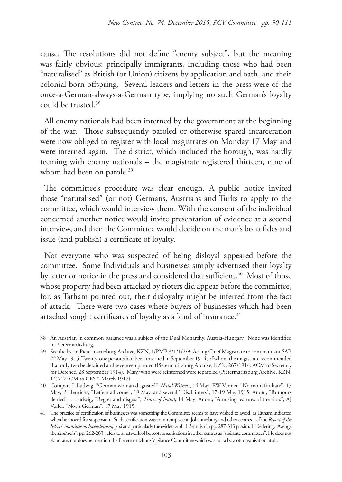cause. The resolutions did not define "enemy subject", but the meaning was fairly obvious: principally immigrants, including those who had been "naturalised" as British (or Union) citizens by application and oath, and their colonial-born offspring. Several leaders and letters in the press were of the once-a-German-always-a-German type, implying no such German's loyalty could be trusted.38

All enemy nationals had been interned by the government at the beginning of the war. Those subsequently paroled or otherwise spared incarceration were now obliged to register with local magistrates on Monday 17 May and were interned again. The district, which included the borough, was hardly teeming with enemy nationals – the magistrate registered thirteen, nine of whom had been on parole.<sup>39</sup>

The committee's procedure was clear enough. A public notice invited those "naturalised" (or not) Germans, Austrians and Turks to apply to the committee, which would interview them. With the consent of the individual concerned another notice would invite presentation of evidence at a second interview, and then the Committee would decide on the man's bona fides and issue (and publish) a certificate of loyalty.

Not everyone who was suspected of being disloyal appeared before the committee. Some Individuals and businesses simply advertised their loyalty by letter or notice in the press and considered that sufficient.<sup>40</sup> Most of those whose property had been attacked by rioters did appear before the committee, for, as Tatham pointed out, their disloyalty might be inferred from the fact of attack. There were two cases where buyers of businesses which had been attacked sought certificates of loyalty as a kind of insurance.<sup>41</sup>

<sup>38</sup> An Austrian in common parlance was a subject of the Dual Monarchy, Austria-Hungary. None was identified in Pietermaritzburg.

<sup>39</sup> See the list in Pietermaritzburg Archive, KZN, 1/PMB 3/1/1/2/9: Acting Chief Magistrate to commandant SAP, 22 May 1915. Twenty-one persons had been interned in September 1914, of whom the magistrate recommended that only two be detained and seventeen paroled (Pietermaritzburg Archive, KZN, 267/1914: ACM to Secretary for Defence, 28 September 1914). Many who were reinterned were reparoled (Pietermaritzburg Archive, KZN, 147/17: CM to CES 2 March 1917).

<sup>40</sup> Compare L Ludwig, "German woman disgusted", *Natal Witness*, 14 May; EW Venner, "No room for hate", 17 May; B Henrichs, "Let'em all come", 19 May, and several "Disclaimers", 17-19 May 1915; Anon., "Rumours denied"; L Ludwig, "Regret and disgust", *Times of Natal*, 14 May; Anon., "Amusing features of the riots"; AJ Voller, "Not a German", 17 May 1915.

<sup>41</sup> The practice of certification of businesses was something the Committee seems to have wished to avoid, as Tatham indicated when he moved for suspension. Such certification was commonplace in Johannesburg and other centres – cf the *Report of the Select Committee on Incendiarism*, p. xi and particularly the evidence of H Beamish in pp. 287-313 passim. T Dedering, "Avenge the *Lusitania*", pp. 262-263, refers to a network of boycott organisations in other centres as "vigilante committees". He does not elaborate, nor does he mention the Pietermaritzburg Vigilance Committee which was not a boycott organisation at all.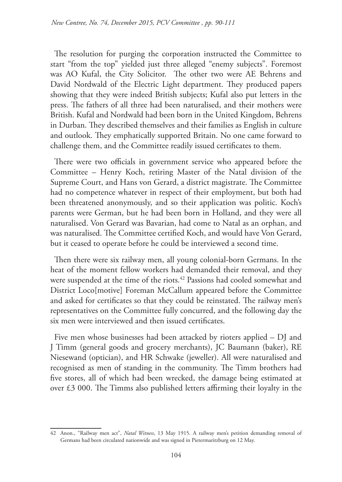The resolution for purging the corporation instructed the Committee to start "from the top" yielded just three alleged "enemy subjects". Foremost was AO Kufal, the City Solicitor. The other two were AE Behrens and David Nordwald of the Electric Light department. They produced papers showing that they were indeed British subjects; Kufal also put letters in the press. The fathers of all three had been naturalised, and their mothers were British. Kufal and Nordwald had been born in the United Kingdom, Behrens in Durban. They described themselves and their families as English in culture and outlook. They emphatically supported Britain. No one came forward to challenge them, and the Committee readily issued certificates to them.

There were two officials in government service who appeared before the Committee – Henry Koch, retiring Master of the Natal division of the Supreme Court, and Hans von Gerard, a district magistrate. The Committee had no competence whatever in respect of their employment, but both had been threatened anonymously, and so their application was politic. Koch's parents were German, but he had been born in Holland, and they were all naturalised. Von Gerard was Bavarian, had come to Natal as an orphan, and was naturalised. The Committee certified Koch, and would have Von Gerard, but it ceased to operate before he could be interviewed a second time.

Then there were six railway men, all young colonial-born Germans. In the heat of the moment fellow workers had demanded their removal, and they were suspended at the time of the riots.<sup>42</sup> Passions had cooled somewhat and District Loco[motive] Foreman McCallum appeared before the Committee and asked for certificates so that they could be reinstated. The railway men's representatives on the Committee fully concurred, and the following day the six men were interviewed and then issued certificates.

Five men whose businesses had been attacked by rioters applied – DJ and J Timm (general goods and grocery merchants), JC Baumann (baker), RE Niesewand (optician), and HR Schwake (jeweller). All were naturalised and recognised as men of standing in the community. The Timm brothers had five stores, all of which had been wrecked, the damage being estimated at over £3 000. The Timms also published letters affirming their loyalty in the

<sup>42</sup> Anon., "Railway men act", *Natal Witness*, 13 May 1915. A railway men's petition demanding removal of Germans had been circulated nationwide and was signed in Pietermaritzburg on 12 May.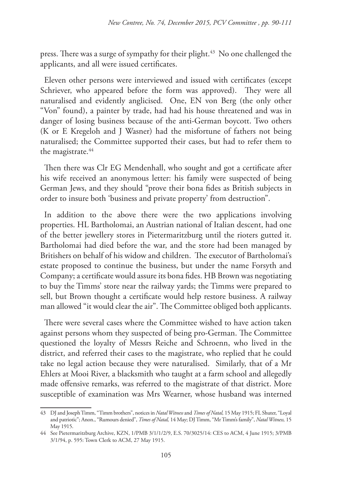press. There was a surge of sympathy for their plight.<sup>43</sup> No one challenged the applicants, and all were issued certificates.

Eleven other persons were interviewed and issued with certificates (except Schriever, who appeared before the form was approved). They were all naturalised and evidently anglicised. One, EN von Berg (the only other "Von" found), a painter by trade, had had his house threatened and was in danger of losing business because of the anti-German boycott. Two others (K or E Kregeloh and J Wasner) had the misfortune of fathers not being naturalised; the Committee supported their cases, but had to refer them to the magistrate.<sup>44</sup>

Then there was Clr EG Mendenhall, who sought and got a certificate after his wife received an anonymous letter: his family were suspected of being German Jews, and they should "prove their bona fides as British subjects in order to insure both 'business and private property' from destruction".

In addition to the above there were the two applications involving properties. HL Bartholomai, an Austrian national of Italian descent, had one of the better jewellery stores in Pietermaritzburg until the rioters gutted it. Bartholomai had died before the war, and the store had been managed by Britishers on behalf of his widow and children. The executor of Bartholomai's estate proposed to continue the business, but under the name Forsyth and Company; a certificate would assure its bona fides. HB Brown was negotiating to buy the Timms' store near the railway yards; the Timms were prepared to sell, but Brown thought a certificate would help restore business. A railway man allowed "it would clear the air". The Committee obliged both applicants.

There were several cases where the Committee wished to have action taken against persons whom they suspected of being pro-German. The Committee questioned the loyalty of Messrs Reiche and Schroenn, who lived in the district, and referred their cases to the magistrate, who replied that he could take no legal action because they were naturalised. Similarly, that of a Mr Ehlers at Mooi River, a blacksmith who taught at a farm school and allegedly made offensive remarks, was referred to the magistrate of that district. More susceptible of examination was Mrs Wearner, whose husband was interned

<sup>43</sup> DJ and Joseph Timm, "Timm brothers", notices in *Natal Witness* and *Times of Natal,* 15 May 1915; FL Shuter, "Loyal and patriotic"; Anon., "Rumours denied", *Times of Natal,* 14 May; DJ Timm, "Mr Timm's family", *Natal Witness,* 15 May 1915.

<sup>44</sup> See Pietermaritzburg Archive, KZN, 1/PMB 3/1/1/2/9, E.S. 70/3025/14: CES to ACM, 4 June 1915; 3/PMB 3/1/94, p. 595: Town Clerk to ACM, 27 May 1915.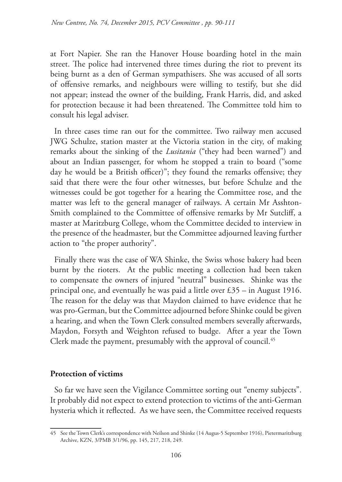at Fort Napier. She ran the Hanover House boarding hotel in the main street. The police had intervened three times during the riot to prevent its being burnt as a den of German sympathisers. She was accused of all sorts of offensive remarks, and neighbours were willing to testify, but she did not appear; instead the owner of the building, Frank Harris, did, and asked for protection because it had been threatened. The Committee told him to consult his legal adviser.

In three cases time ran out for the committee. Two railway men accused JWG Schulze, station master at the Victoria station in the city, of making remarks about the sinking of the *Lusitania* ("they had been warned") and about an Indian passenger, for whom he stopped a train to board ("some day he would be a British officer)"; they found the remarks offensive; they said that there were the four other witnesses, but before Schulze and the witnesses could be got together for a hearing the Committee rose, and the matter was left to the general manager of railways. A certain Mr Asshton-Smith complained to the Committee of offensive remarks by Mr Sutcliff, a master at Maritzburg College, whom the Committee decided to interview in the presence of the headmaster, but the Committee adjourned leaving further action to "the proper authority".

Finally there was the case of WA Shinke, the Swiss whose bakery had been burnt by the rioters. At the public meeting a collection had been taken to compensate the owners of injured "neutral" businesses. Shinke was the principal one, and eventually he was paid a little over £35 – in August 1916. The reason for the delay was that Maydon claimed to have evidence that he was pro-German, but the Committee adjourned before Shinke could be given a hearing, and when the Town Clerk consulted members severally afterwards, Maydon, Forsyth and Weighton refused to budge. After a year the Town Clerk made the payment, presumably with the approval of council.<sup>45</sup>

### **Protection of victims**

So far we have seen the Vigilance Committee sorting out "enemy subjects". It probably did not expect to extend protection to victims of the anti-German hysteria which it reflected. As we have seen, the Committee received requests

<sup>45</sup> See the Town Clerk's correspondence with Neilson and Shinke (14 Augus-5 September 1916), Pietermaritzburg Archive, KZN, 3/PMB 3/1/96, pp. 145, 217, 218, 249.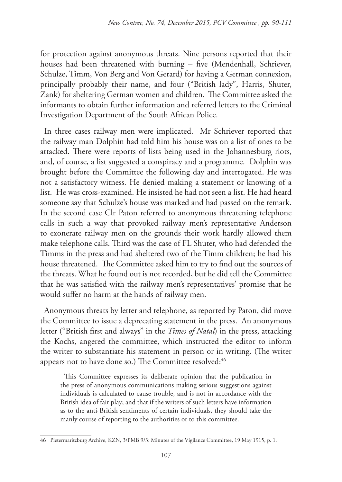for protection against anonymous threats. Nine persons reported that their houses had been threatened with burning – five (Mendenhall, Schriever, Schulze, Timm, Von Berg and Von Gerard) for having a German connexion, principally probably their name, and four ("British lady", Harris, Shuter, Zank) for sheltering German women and children. The Committee asked the informants to obtain further information and referred letters to the Criminal Investigation Department of the South African Police.

In three cases railway men were implicated. Mr Schriever reported that the railway man Dolphin had told him his house was on a list of ones to be attacked. There were reports of lists being used in the Johannesburg riots, and, of course, a list suggested a conspiracy and a programme. Dolphin was brought before the Committee the following day and interrogated. He was not a satisfactory witness. He denied making a statement or knowing of a list. He was cross-examined. He insisted he had not seen a list. He had heard someone say that Schulze's house was marked and had passed on the remark. In the second case Clr Paton referred to anonymous threatening telephone calls in such a way that provoked railway men's representative Anderson to exonerate railway men on the grounds their work hardly allowed them make telephone calls. Third was the case of FL Shuter, who had defended the Timms in the press and had sheltered two of the Timm children; he had his house threatened. The Committee asked him to try to find out the sources of the threats. What he found out is not recorded, but he did tell the Committee that he was satisfied with the railway men's representatives' promise that he would suffer no harm at the hands of railway men.

Anonymous threats by letter and telephone, as reported by Paton, did move the Committee to issue a deprecating statement in the press. An anonymous letter ("British first and always" in the *Times of Natal*) in the press, attacking the Kochs, angered the committee, which instructed the editor to inform the writer to substantiate his statement in person or in writing. (The writer appears not to have done so.) The Committee resolved:<sup>46</sup>

This Committee expresses its deliberate opinion that the publication in the press of anonymous communications making serious suggestions against individuals is calculated to cause trouble, and is not in accordance with the British idea of fair play; and that if the writers of such letters have information as to the anti-British sentiments of certain individuals, they should take the manly course of reporting to the authorities or to this committee.

<sup>46</sup> Pietermaritzburg Archive, KZN, 3/PMB 9/3: Minutes of the Vigilance Committee, 19 May 1915, p. 1.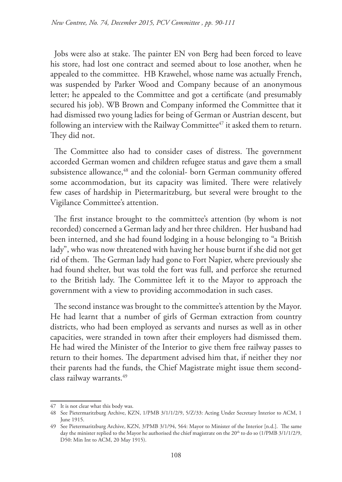Jobs were also at stake. The painter EN von Berg had been forced to leave his store, had lost one contract and seemed about to lose another, when he appealed to the committee. HB Krawehel, whose name was actually French, was suspended by Parker Wood and Company because of an anonymous letter; he appealed to the Committee and got a certificate (and presumably secured his job). WB Brown and Company informed the Committee that it had dismissed two young ladies for being of German or Austrian descent, but following an interview with the Railway Committee<sup>47</sup> it asked them to return. They did not.

The Committee also had to consider cases of distress. The government accorded German women and children refugee status and gave them a small subsistence allowance,<sup>48</sup> and the colonial- born German community offered some accommodation, but its capacity was limited. There were relatively few cases of hardship in Pietermaritzburg, but several were brought to the Vigilance Committee's attention.

The first instance brought to the committee's attention (by whom is not recorded) concerned a German lady and her three children. Her husband had been interned, and she had found lodging in a house belonging to "a British lady", who was now threatened with having her house burnt if she did not get rid of them. The German lady had gone to Fort Napier, where previously she had found shelter, but was told the fort was full, and perforce she returned to the British lady. The Committee left it to the Mayor to approach the government with a view to providing accommodation in such cases.

The second instance was brought to the committee's attention by the Mayor. He had learnt that a number of girls of German extraction from country districts, who had been employed as servants and nurses as well as in other capacities, were stranded in town after their employers had dismissed them. He had wired the Minister of the Interior to give them free railway passes to return to their homes. The department advised him that, if neither they nor their parents had the funds, the Chief Magistrate might issue them secondclass railway warrants.49

<sup>47</sup> It is not clear what this body was.

<sup>48</sup> See Pietermaritzburg Archive, KZN, 1/PMB 3/1/1/2/9, 5/Z/33: Acting Under Secretary Interior to ACM, 1 June 1915.

<sup>49</sup> See Pietermaritzburg Archive, KZN, 3/PMB 3/1/94, 564: Mayor to Minister of the Interior [n.d.]. The same day the minister replied to the Mayor he authorised the chief magistrate on the 20<sup>th</sup> to do so (1/PMB 3/1/1/2/9, D50: Min Int to ACM, 20 May 1915).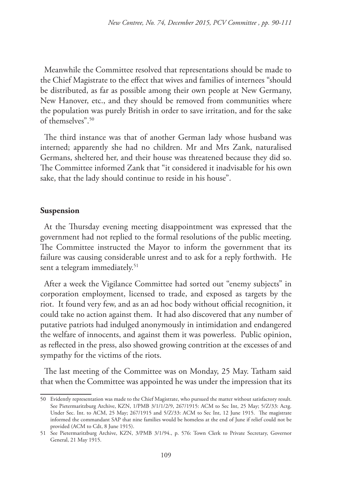Meanwhile the Committee resolved that representations should be made to the Chief Magistrate to the effect that wives and families of internees "should be distributed, as far as possible among their own people at New Germany, New Hanover, etc., and they should be removed from communities where the population was purely British in order to save irritation, and for the sake of themselves".50

The third instance was that of another German lady whose husband was interned; apparently she had no children. Mr and Mrs Zank, naturalised Germans, sheltered her, and their house was threatened because they did so. The Committee informed Zank that "it considered it inadvisable for his own sake, that the lady should continue to reside in his house".

#### **Suspension**

At the Thursday evening meeting disappointment was expressed that the government had not replied to the formal resolutions of the public meeting. The Committee instructed the Mayor to inform the government that its failure was causing considerable unrest and to ask for a reply forthwith. He sent a telegram immediately.<sup>51</sup>

After a week the Vigilance Committee had sorted out "enemy subjects" in corporation employment, licensed to trade, and exposed as targets by the riot. It found very few, and as an ad hoc body without official recognition, it could take no action against them. It had also discovered that any number of putative patriots had indulged anonymously in intimidation and endangered the welfare of innocents, and against them it was powerless. Public opinion, as reflected in the press, also showed growing contrition at the excesses of and sympathy for the victims of the riots.

The last meeting of the Committee was on Monday, 25 May. Tatham said that when the Committee was appointed he was under the impression that its

<sup>50</sup> Evidently representation was made to the Chief Magistrate, who pursued the matter without satisfactory result. See Pietermaritzburg Archive, KZN, 1/PMB 3/1/1/2/9, 267/1915: ACM to Sec Int, 25 May; 5/Z/33: Actg. Under Sec. Int. to ACM, 25 May; 267/1915 and 5/Z/33: ACM to Sec Int, 12 June 1915. The magistrate informed the commandant SAP that nine families would be homeless at the end of June if relief could not be provided (ACM to Cdt, 8 June 1915).

<sup>51</sup> See Pietermaritzburg Archive, KZN, 3/PMB 3/1/94., p. 576: Town Clerk to Private Secretary, Governor General, 21 May 1915.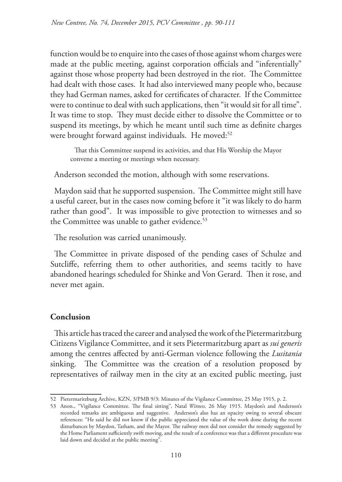function would be to enquire into the cases of those against whom charges were made at the public meeting, against corporation officials and "inferentially" against those whose property had been destroyed in the riot. The Committee had dealt with those cases. It had also interviewed many people who, because they had German names, asked for certificates of character. If the Committee were to continue to deal with such applications, then "it would sit for all time". It was time to stop. They must decide either to dissolve the Committee or to suspend its meetings, by which he meant until such time as definite charges were brought forward against individuals. He moved:<sup>52</sup>

That this Committee suspend its activities, and that His Worship the Mayor convene a meeting or meetings when necessary.

Anderson seconded the motion, although with some reservations.

Maydon said that he supported suspension. The Committee might still have a useful career, but in the cases now coming before it "it was likely to do harm rather than good". It was impossible to give protection to witnesses and so the Committee was unable to gather evidence.<sup>53</sup>

The resolution was carried unanimously.

The Committee in private disposed of the pending cases of Schulze and Sutcliffe, referring them to other authorities, and seems tacitly to have abandoned hearings scheduled for Shinke and Von Gerard. Then it rose, and never met again.

## **Conclusion**

This article has traced the career and analysed the work of the Pietermaritzburg Citizens Vigilance Committee, and it sets Pietermaritzburg apart as *sui generis* among the centres affected by anti-German violence following the *Lusitania* sinking. The Committee was the creation of a resolution proposed by representatives of railway men in the city at an excited public meeting, just

<sup>52</sup> Pietermaritzburg Archive, KZN, 3/PMB 9/3: Minutes of the Vigilance Committee, 25 May 1915, p. 2.

<sup>53</sup> Anon., "Vigilance Committee. The final sitting", Natal *Witness,* 26 May 1915. Maydon's and Anderson's recorded remarks are ambiguous and suggestive. Anderson's also has an opacity owing to several obscure references: "He said he did not know if the public appreciated the value of the work done during the recent disturbances by Maydon, Tatham, and the Mayor. The railway men did not consider the remedy suggested by the Home Parliament sufficiently swift moving, and the result of a conference was that a different procedure was laid down and decided at the public meeting".